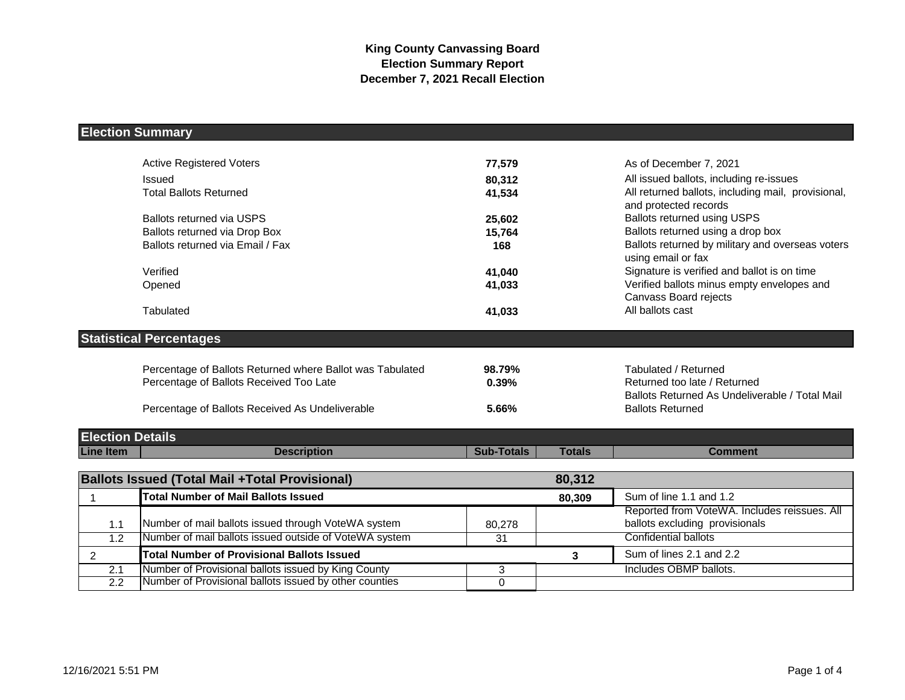## **Election Summary**

|                         | <b>Active Registered Voters</b>                           | 77,579            |               | As of December 7, 2021                                                         |
|-------------------------|-----------------------------------------------------------|-------------------|---------------|--------------------------------------------------------------------------------|
|                         | Issued                                                    | 80,312            |               | All issued ballots, including re-issues                                        |
|                         | <b>Total Ballots Returned</b>                             | 41,534            |               | All returned ballots, including mail, provisional,<br>and protected records    |
|                         | <b>Ballots returned via USPS</b>                          | 25,602            |               | <b>Ballots returned using USPS</b>                                             |
|                         | Ballots returned via Drop Box                             | 15,764            |               | Ballots returned using a drop box                                              |
|                         | Ballots returned via Email / Fax                          | 168               |               | Ballots returned by military and overseas voters<br>using email or fax         |
|                         | Verified                                                  | 41,040            |               | Signature is verified and ballot is on time                                    |
|                         | Opened                                                    | 41,033            |               | Verified ballots minus empty envelopes and<br>Canvass Board rejects            |
|                         | Tabulated                                                 | 41,033            |               | All ballots cast                                                               |
|                         | <b>Statistical Percentages</b>                            |                   |               |                                                                                |
|                         | Percentage of Ballots Returned where Ballot was Tabulated | 98.79%            |               | Tabulated / Returned                                                           |
|                         | Percentage of Ballots Received Too Late                   | 0.39%             |               | Returned too late / Returned<br>Ballots Returned As Undeliverable / Total Mail |
|                         | Percentage of Ballots Received As Undeliverable           | 5.66%             |               | <b>Ballots Returned</b>                                                        |
| <b>Election Details</b> |                                                           |                   |               |                                                                                |
| <b>Line Item</b>        | <b>Description</b>                                        | <b>Sub-Totals</b> | <b>Totals</b> | <b>Comment</b>                                                                 |
|                         |                                                           |                   |               |                                                                                |
|                         | <b>Ballots Issued (Total Mail +Total Provisional)</b>     |                   | 80,312        |                                                                                |
|                         | <b>Total Number of Mail Ballots Issued</b>                |                   | 80,309        | Sum of line 1.1 and 1.2                                                        |
|                         |                                                           |                   |               | Reported from VoteWA. Includes reissues. All                                   |
| 1.1                     | Number of mail ballots issued through VoteWA system       | 80,278            |               | ballots excluding provisionals                                                 |
| 1.2                     | Number of mail ballots issued outside of VoteWA system    | 31                |               | Confidential ballots                                                           |
| $\overline{2}$          | <b>Total Number of Provisional Ballots Issued</b>         |                   | 3             | Sum of lines 2.1 and 2.2                                                       |
| 2.1                     | Number of Provisional ballots issued by King County       | 3                 |               | Includes OBMP ballots.                                                         |
| $\overline{2.2}$        | Number of Provisional ballots issued by other counties    | $\Omega$          |               |                                                                                |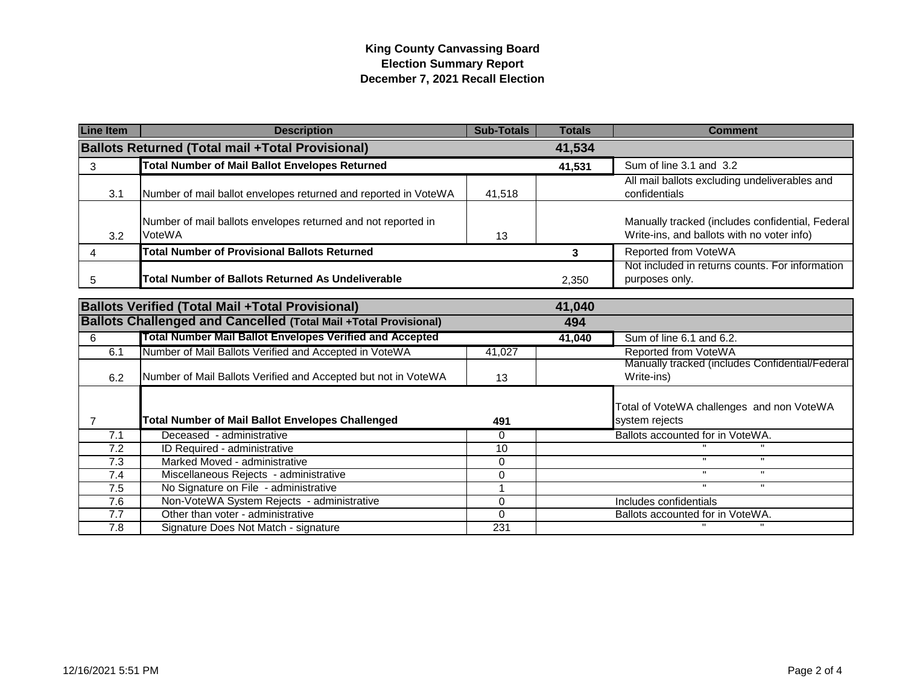## **King County Canvassing Board Election Summary Report December 7, 2021 Recall Election**

| <b>Line Item</b>                                                  | <b>Description</b>                                                      | <b>Sub-Totals</b> | <b>Totals</b> | <b>Comment</b>                                                                                 |
|-------------------------------------------------------------------|-------------------------------------------------------------------------|-------------------|---------------|------------------------------------------------------------------------------------------------|
| <b>Ballots Returned (Total mail +Total Provisional)</b><br>41,534 |                                                                         |                   |               |                                                                                                |
| 3                                                                 | <b>Total Number of Mail Ballot Envelopes Returned</b>                   |                   | 41,531        | Sum of line 3.1 and 3.2                                                                        |
| 3.1                                                               | Number of mail ballot envelopes returned and reported in VoteWA         | 41.518            |               | All mail ballots excluding undeliverables and<br>confidentials                                 |
| 3.2                                                               | Number of mail ballots envelopes returned and not reported in<br>VoteWA | 13                |               | Manually tracked (includes confidential, Federal<br>Write-ins, and ballots with no voter info) |
| 4                                                                 | <b>Total Number of Provisional Ballots Returned</b>                     |                   | 3             | Reported from VoteWA                                                                           |
| 5                                                                 | Total Number of Ballots Returned As Undeliverable                       |                   | 2,350         | Not included in returns counts. For information<br>purposes only.                              |
| <b>Ballots Verified (Total Mail +Total Provisional)</b><br>41,040 |                                                                         |                   |               |                                                                                                |
|                                                                   | <b>Ballots Challenged and Cancelled (Total Mail +Total Provisional)</b> |                   | 494           |                                                                                                |
| 6                                                                 | Total Number Mail Ballot Envelopes Verified and Accepted                |                   | 41,040        | Sum of line 6.1 and 6.2.                                                                       |
| 6.1                                                               | Number of Mail Ballots Verified and Accepted in VoteWA                  | 41,027            |               | Reported from VoteWA                                                                           |
| 6.2                                                               | Number of Mail Ballots Verified and Accepted but not in VoteWA          | 13                |               | Manually tracked (includes Confidential/Federal<br>Write-ins)                                  |
| $\overline{7}$                                                    | <b>Total Number of Mail Ballot Envelopes Challenged</b>                 | 491               |               | Total of VoteWA challenges and non VoteWA<br>system rejects                                    |
| 7.1                                                               | Deceased - administrative                                               | $\Omega$          |               | Ballots accounted for in VoteWA.                                                               |
| 7.2                                                               | ID Required - administrative                                            | 10                |               |                                                                                                |
| $\overline{7.3}$                                                  | Marked Moved - administrative                                           | $\Omega$          |               | $\mathbf{u}$<br>$\mathbf{u}$                                                                   |
| 7.4                                                               | Miscellaneous Rejects - administrative                                  | $\Omega$          |               | $\mathbf{H}$<br>$\mathbf{H}$                                                                   |
| 7.5                                                               | No Signature on File - administrative                                   | 1                 |               | π                                                                                              |
| 7.6                                                               | Non-VoteWA System Rejects - administrative                              | $\Omega$          |               | Includes confidentials                                                                         |
| $\overline{7.7}$                                                  | Other than voter - administrative                                       | $\Omega$          |               | Ballots accounted for in VoteWA.                                                               |
| $\overline{7.8}$                                                  | Signature Does Not Match - signature                                    | 231               |               |                                                                                                |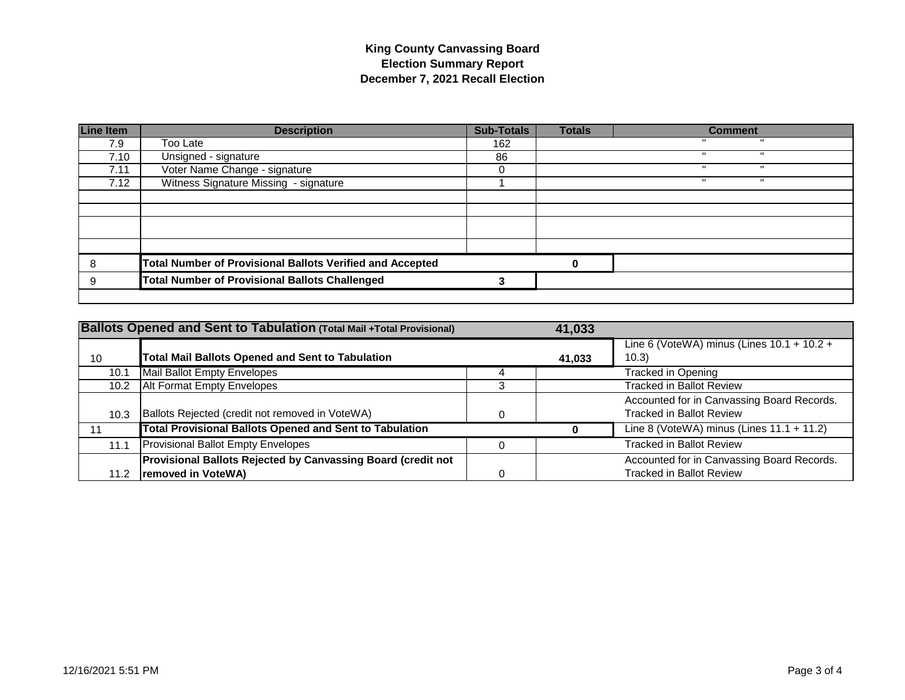## **King County Canvassing Board Election Summary Report December 7, 2021 Recall Election**

| <b>Line Item</b> | <b>Description</b>                                               | <b>Sub-Totals</b> | <b>Totals</b> | <b>Comment</b> |
|------------------|------------------------------------------------------------------|-------------------|---------------|----------------|
| 7.9              | Too Late                                                         | 162               |               |                |
| 7.10             | Unsigned - signature                                             | 86                |               |                |
| 7.11             | Voter Name Change - signature                                    |                   |               |                |
| 7.12             | Witness Signature Missing - signature                            |                   |               | л              |
|                  |                                                                  |                   |               |                |
|                  |                                                                  |                   |               |                |
|                  |                                                                  |                   |               |                |
|                  |                                                                  |                   |               |                |
|                  |                                                                  |                   |               |                |
| 8                | <b>Total Number of Provisional Ballots Verified and Accepted</b> |                   | 0             |                |
| 9                | <b>Total Number of Provisional Ballots Challenged</b>            |                   |               |                |
|                  |                                                                  |                   |               |                |

|      | <b>Ballots Opened and Sent to Tabulation (Total Mail +Total Provisional)</b>       | 41,033 |                                                                               |
|------|------------------------------------------------------------------------------------|--------|-------------------------------------------------------------------------------|
| 10   | Total Mail Ballots Opened and Sent to Tabulation                                   | 41,033 | Line 6 (VoteWA) minus (Lines $10.1 + 10.2 +$<br>(10.3)                        |
| 10.1 | Mail Ballot Empty Envelopes                                                        |        | Tracked in Opening                                                            |
| 10.2 | <b>Alt Format Empty Envelopes</b>                                                  |        | <b>Tracked in Ballot Review</b>                                               |
| 10.3 | Ballots Rejected (credit not removed in VoteWA)                                    |        | Accounted for in Canvassing Board Records.<br><b>Tracked in Ballot Review</b> |
|      | <b>Total Provisional Ballots Opened and Sent to Tabulation</b>                     |        | Line 8 (VoteWA) minus (Lines $11.1 + 11.2$ )                                  |
| 11.1 | <b>Provisional Ballot Empty Envelopes</b>                                          |        | <b>Tracked in Ballot Review</b>                                               |
| 11.2 | Provisional Ballots Rejected by Canvassing Board (credit not<br>removed in VoteWA) |        | Accounted for in Canvassing Board Records.<br><b>Tracked in Ballot Review</b> |